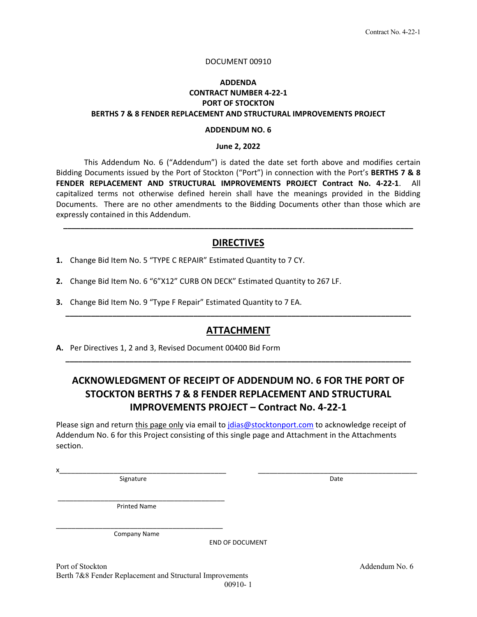#### DOCUMENT 00910

### **ADDENDA CONTRACT NUMBER 4‐22‐1 PORT OF STOCKTON BERTHS 7 & 8 FENDER REPLACEMENT AND STRUCTURAL IMPROVEMENTS PROJECT**

#### **ADDENDUM NO. 6**

#### **June 2, 2022**

 This Addendum No. 6 ("Addendum") is dated the date set forth above and modifies certain Bidding Documents issued by the Port of Stockton ("Port") in connection with the Port's **BERTHS 7 & 8 FENDER REPLACEMENT AND STRUCTURAL IMPROVEMENTS PROJECT Contract No. 4‐22‐1**. All capitalized terms not otherwise defined herein shall have the meanings provided in the Bidding Documents. There are no other amendments to the Bidding Documents other than those which are expressly contained in this Addendum.

#### **DIRECTIVES**

**\_\_\_\_\_\_\_\_\_\_\_\_\_\_\_\_\_\_\_\_\_\_\_\_\_\_\_\_\_\_\_\_\_\_\_\_\_\_\_\_\_\_\_\_\_\_\_\_\_\_\_\_\_\_\_\_\_\_\_\_\_\_\_\_\_\_\_\_\_\_\_\_\_\_\_\_\_\_\_\_\_\_** 

- **1.** Change Bid Item No. 5 "TYPE C REPAIR" Estimated Quantity to 7 CY.
- **2.** Change Bid Item No. 6 "6"X12" CURB ON DECK" Estimated Quantity to 267 LF.
- **3.** Change Bid Item No. 9 "Type F Repair" Estimated Quantity to 7 EA.

#### **ATTACHMENT**

**\_\_\_\_\_\_\_\_\_\_\_\_\_\_\_\_\_\_\_\_\_\_\_\_\_\_\_\_\_\_\_\_\_\_\_\_\_\_\_\_\_\_\_\_\_\_\_\_\_\_\_\_\_\_\_\_\_\_\_\_\_\_\_\_\_\_\_\_\_\_\_\_\_\_\_\_\_\_\_\_\_**

**\_\_\_\_\_\_\_\_\_\_\_\_\_\_\_\_\_\_\_\_\_\_\_\_\_\_\_\_\_\_\_\_\_\_\_\_\_\_\_\_\_\_\_\_\_\_\_\_\_\_\_\_\_\_\_\_\_\_\_\_\_\_\_\_\_\_\_\_\_\_\_\_\_\_\_\_\_\_\_\_\_**

**A.** Per Directives 1, 2 and 3, Revised Document 00400 Bid Form

## **ACKNOWLEDGMENT OF RECEIPT OF ADDENDUM NO. 6 FOR THE PORT OF STOCKTON BERTHS 7 & 8 FENDER REPLACEMENT AND STRUCTURAL IMPROVEMENTS PROJECT – Contract No. 4‐22‐1**

Please sign and return this page only via email to jdias@stocktonport.com to acknowledge receipt of Addendum No. 6 for this Project consisting of this single page and Attachment in the Attachments section.

 $x_\perp$  , and the state of the state of the state of the state of the state of the state of the state of the state of the state of the state of the state of the state of the state of the state of the state of the state of Signature **Date** 

Printed Name

\_\_\_\_\_\_\_\_\_\_\_\_\_\_\_\_\_\_\_\_\_\_\_\_\_\_\_\_\_\_\_\_\_\_\_\_\_\_\_\_\_\_\_

\_\_\_\_\_\_\_\_\_\_\_\_\_\_\_\_\_\_\_\_\_\_\_\_\_\_\_\_\_\_\_\_\_\_\_\_\_\_\_\_\_\_\_ Company Name

END OF DOCUMENT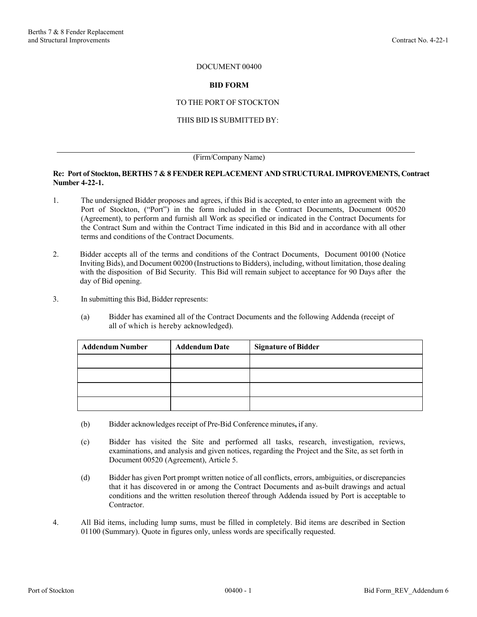#### DOCUMENT 00400

#### **BID FORM**

#### TO THE PORT OF STOCKTON

#### THIS BID IS SUBMITTED BY:

#### (Firm/Company Name)

#### **Re: Port of Stockton, BERTHS 7 & 8 FENDER REPLACEMENT AND STRUCTURAL IMPROVEMENTS, Contract Number 4-22-1.**

- 1. The undersigned Bidder proposes and agrees, if this Bid is accepted, to enter into an agreement with the Port of Stockton, ("Port") in the form included in the Contract Documents, Document 00520 (Agreement), to perform and furnish all Work as specified or indicated in the Contract Documents for the Contract Sum and within the Contract Time indicated in this Bid and in accordance with all other terms and conditions of the Contract Documents.
- 2. Bidder accepts all of the terms and conditions of the Contract Documents, Document 00100 (Notice Inviting Bids), and Document 00200 (Instructions to Bidders), including, without limitation, those dealing with the disposition of Bid Security. This Bid will remain subject to acceptance for 90 Days after the day of Bid opening.
- 3. In submitting this Bid, Bidder represents:
	- (a) Bidder has examined all of the Contract Documents and the following Addenda (receipt of all of which is hereby acknowledged).

| <b>Addendum Number</b> | <b>Addendum Date</b> | <b>Signature of Bidder</b> |  |  |  |
|------------------------|----------------------|----------------------------|--|--|--|
|                        |                      |                            |  |  |  |
|                        |                      |                            |  |  |  |
|                        |                      |                            |  |  |  |
|                        |                      |                            |  |  |  |

- (b) Bidder acknowledges receipt of Pre-Bid Conference minutes**,** if any.
- (c) Bidder has visited the Site and performed all tasks, research, investigation, reviews, examinations, and analysis and given notices, regarding the Project and the Site, as set forth in Document 00520 (Agreement), Article 5.
- (d) Bidder has given Port prompt written notice of all conflicts, errors, ambiguities, or discrepancies that it has discovered in or among the Contract Documents and as-built drawings and actual conditions and the written resolution thereof through Addenda issued by Port is acceptable to Contractor.
- 4. All Bid items, including lump sums, must be filled in completely. Bid items are described in Section 01100 (Summary). Quote in figures only, unless words are specifically requested.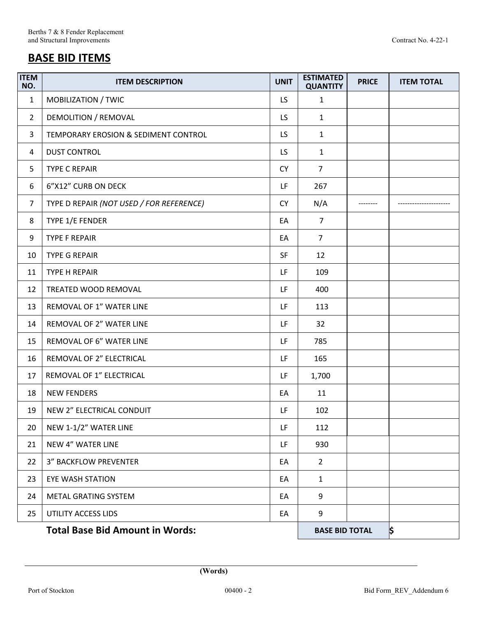# **BASE BID ITEMS**

| <b>ITEM</b><br>NO. | <b>ITEM DESCRIPTION</b>                  | <b>UNIT</b> | <b>ESTIMATED</b><br><b>QUANTITY</b> | <b>PRICE</b> | <b>ITEM TOTAL</b> |
|--------------------|------------------------------------------|-------------|-------------------------------------|--------------|-------------------|
| $\mathbf{1}$       | MOBILIZATION / TWIC                      | LS.         | $\mathbf{1}$                        |              |                   |
| $\overline{2}$     | DEMOLITION / REMOVAL                     | LS.         | $\mathbf{1}$                        |              |                   |
| 3                  | TEMPORARY EROSION & SEDIMENT CONTROL     | LS.         | $\mathbf{1}$                        |              |                   |
| 4                  | <b>DUST CONTROL</b>                      | LS.         | $\mathbf{1}$                        |              |                   |
| 5                  | <b>TYPE C REPAIR</b>                     | <b>CY</b>   | $\overline{7}$                      |              |                   |
| 6                  | 6"X12" CURB ON DECK                      | LF          | 267                                 |              |                   |
| $\overline{7}$     | TYPE D REPAIR (NOT USED / FOR REFERENCE) | <b>CY</b>   | N/A                                 |              |                   |
| 8                  | TYPE 1/E FENDER                          | EA          | $\overline{7}$                      |              |                   |
| 9                  | <b>TYPE F REPAIR</b>                     | EA          | $\overline{7}$                      |              |                   |
| 10                 | <b>TYPE G REPAIR</b>                     | <b>SF</b>   | 12                                  |              |                   |
| 11                 | <b>TYPE H REPAIR</b>                     | LF          | 109                                 |              |                   |
| 12                 | TREATED WOOD REMOVAL                     | LF          | 400                                 |              |                   |
| 13                 | REMOVAL OF 1" WATER LINE                 | LF          | 113                                 |              |                   |
| 14                 | REMOVAL OF 2" WATER LINE                 | LF          | 32                                  |              |                   |
| 15                 | REMOVAL OF 6" WATER LINE                 | LF          | 785                                 |              |                   |
| 16                 | REMOVAL OF 2" ELECTRICAL                 | LF          | 165                                 |              |                   |
| 17                 | REMOVAL OF 1" ELECTRICAL                 | LF          | 1,700                               |              |                   |
| 18                 | <b>NEW FENDERS</b>                       | EA          | 11                                  |              |                   |
| 19                 | NEW 2" ELECTRICAL CONDUIT                | LF          | 102                                 |              |                   |
| 20                 | NEW 1-1/2" WATER LINE                    | LF          | 112                                 |              |                   |
| 21                 | <b>NEW 4" WATER LINE</b>                 | LF          | 930                                 |              |                   |
| 22                 | <b>3" BACKFLOW PREVENTER</b>             | EA          | $\overline{2}$                      |              |                   |
| 23                 | <b>EYE WASH STATION</b>                  | EA          | $\mathbf{1}$                        |              |                   |
| 24                 | METAL GRATING SYSTEM                     | EA          | 9                                   |              |                   |
| 25                 | UTILITY ACCESS LIDS                      | EA          | 9                                   |              |                   |
|                    | <b>Total Base Bid Amount in Words:</b>   |             | <b>BASE BID TOTAL</b>               |              | \$                |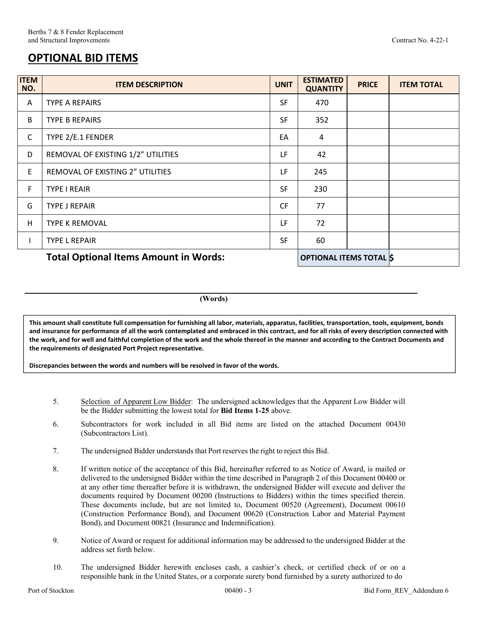## **OPTIONAL BID ITEMS**

| <b>ITEM</b><br>NO. | <b>ITEM DESCRIPTION</b>                      | <b>UNIT</b> | <b>ESTIMATED</b><br><b>QUANTITY</b> | <b>PRICE</b> | <b>ITEM TOTAL</b> |
|--------------------|----------------------------------------------|-------------|-------------------------------------|--------------|-------------------|
| A                  | <b>TYPE A REPAIRS</b>                        | <b>SF</b>   | 470                                 |              |                   |
| B                  | <b>TYPE B REPAIRS</b>                        | <b>SF</b>   | 352                                 |              |                   |
| $\mathsf{C}$       | TYPE 2/E.1 FENDER                            |             | 4                                   |              |                   |
| D                  | REMOVAL OF EXISTING 1/2" UTILITIES           | LF          | 42                                  |              |                   |
| E                  | REMOVAL OF EXISTING 2" UTILITIES             | LF          | 245                                 |              |                   |
| F.                 | <b>TYPE I REAIR</b>                          | <b>SF</b>   | 230                                 |              |                   |
| G                  | <b>TYPE J REPAIR</b>                         | <b>CF</b>   | 77                                  |              |                   |
| H                  | <b>TYPE K REMOVAL</b>                        | LF          | 72                                  |              |                   |
|                    | <b>TYPE L REPAIR</b>                         | <b>SF</b>   | 60                                  |              |                   |
|                    | <b>Total Optional Items Amount in Words:</b> |             | <b>OPTIONAL ITEMS TOTAL S</b>       |              |                   |

**(Words)** 

**This amount shall constitute full compensation for furnishing all labor, materials, apparatus, facilities, transportation, tools, equipment, bonds and insurance for performance of all the work contemplated and embraced in this contract, and for all risks of every description connected with the work, and for well and faithful completion of the work and the whole thereof in the manner and according to the Contract Documents and the requirements of designated Port Project representative.** 

**Discrepancies between the words and numbers will be resolved in favor of the words.**

- 5. Selection of Apparent Low Bidder: The undersigned acknowledges that the Apparent Low Bidder will be the Bidder submitting the lowest total for **Bid Items 1-25** above.
- 6. Subcontractors for work included in all Bid items are listed on the attached Document 00430 (Subcontractors List).
- 7. The undersigned Bidder understands that Port reserves the right to reject this Bid.
- 8. If written notice of the acceptance of this Bid, hereinafter referred to as Notice of Award, is mailed or delivered to the undersigned Bidder within the time described in Paragraph 2 of this Document 00400 or at any other time thereafter before it is withdrawn, the undersigned Bidder will execute and deliver the documents required by Document 00200 (Instructions to Bidders) within the times specified therein. These documents include, but are not limited to, Document 00520 (Agreement), Document 00610 (Construction Performance Bond), and Document 00620 (Construction Labor and Material Payment Bond), and Document 00821 (Insurance and Indemnification).
- 9. Notice of Award or request for additional information may be addressed to the undersigned Bidder at the address set forth below.
- 10. The undersigned Bidder herewith encloses cash, a cashier's check, or certified check of or on a responsible bank in the United States, or a corporate surety bond furnished by a surety authorized to do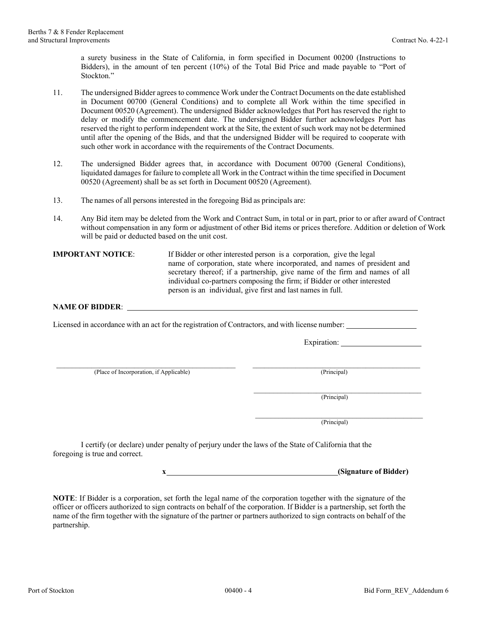a surety business in the State of California, in form specified in Document 00200 (Instructions to Bidders), in the amount of ten percent (10%) of the Total Bid Price and made payable to "Port of Stockton."

- 11. The undersigned Bidder agrees to commence Work under the Contract Documents on the date established in Document 00700 (General Conditions) and to complete all Work within the time specified in Document 00520 (Agreement). The undersigned Bidder acknowledges that Port has reserved the right to delay or modify the commencement date. The undersigned Bidder further acknowledges Port has reserved the right to perform independent work at the Site, the extent of such work may not be determined until after the opening of the Bids, and that the undersigned Bidder will be required to cooperate with such other work in accordance with the requirements of the Contract Documents.
- 12. The undersigned Bidder agrees that, in accordance with Document 00700 (General Conditions), liquidated damages for failure to complete all Work in the Contract within the time specified in Document 00520 (Agreement) shall be as set forth in Document 00520 (Agreement).
- 13. The names of all persons interested in the foregoing Bid as principals are:
- 14. Any Bid item may be deleted from the Work and Contract Sum, in total or in part, prior to or after award of Contract without compensation in any form or adjustment of other Bid items or prices therefore. Addition or deletion of Work will be paid or deducted based on the unit cost.

**IMPORTANT NOTICE:** If Bidder or other interested person is a corporation, give the legal name of corporation, state where incorporated, and names of president and secretary thereof; if a partnership, give name of the firm and names of all individual co-partners composing the firm; if Bidder or other interested person is an individual, give first and last names in full.

#### **NAME OF BIDDER**:

Licensed in accordance with an act for the registration of Contractors, and with license number:

Expiration:

\_\_\_\_\_\_\_\_\_\_\_\_\_\_\_\_\_\_\_\_\_\_\_\_\_\_\_\_\_\_\_\_\_\_\_\_\_\_\_\_\_\_\_\_\_\_ \_\_\_\_\_\_\_\_\_\_\_\_\_\_\_\_\_\_\_\_\_\_\_\_\_\_\_\_\_\_\_\_\_\_\_\_\_\_\_\_\_\_\_ (Place of Incorporation, if Applicable) (Principal)

 $(Principal)$ 

 $(\text{Principal})$ 

I certify (or declare) under penalty of perjury under the laws of the State of California that the foregoing is true and correct.

**x (Signature of Bidder)** 

**NOTE**: If Bidder is a corporation, set forth the legal name of the corporation together with the signature of the officer or officers authorized to sign contracts on behalf of the corporation. If Bidder is a partnership, set forth the name of the firm together with the signature of the partner or partners authorized to sign contracts on behalf of the partnership.